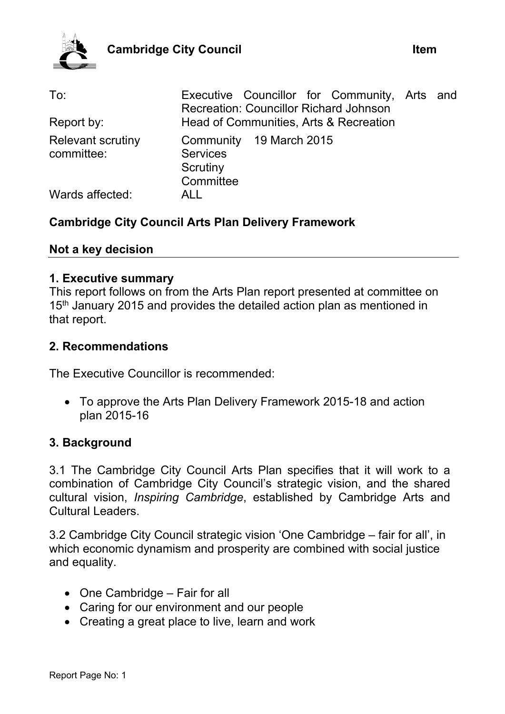

| To:<br>Report by:                      | Executive Councillor for Community, Arts and<br><b>Recreation: Councillor Richard Johnson</b><br>Head of Communities, Arts & Recreation |  |
|----------------------------------------|-----------------------------------------------------------------------------------------------------------------------------------------|--|
|                                        |                                                                                                                                         |  |
| <b>Relevant scrutiny</b><br>committee: | Community 19 March 2015<br><b>Services</b><br>Scrutiny<br>Committee                                                                     |  |
| Wards affected:                        | ALL                                                                                                                                     |  |

### **Cambridge City Council Arts Plan Delivery Framework**

#### **Not a key decision**

#### **1. Executive summary**

This report follows on from the Arts Plan report presented at committee on 15<sup>th</sup> January 2015 and provides the detailed action plan as mentioned in that report.

#### **2. Recommendations**

The Executive Councillor is recommended:

 To approve the Arts Plan Delivery Framework 2015-18 and action plan 2015-16

#### **3. Background**

3.1 The Cambridge City Council Arts Plan specifies that it will work to a combination of Cambridge City Council's strategic vision, and the shared cultural vision, *Inspiring Cambridge*, established by Cambridge Arts and Cultural Leaders.

3.2 Cambridge City Council strategic vision 'One Cambridge – fair for all', in which economic dynamism and prosperity are combined with social justice and equality.

- One Cambridge Fair for all
- Caring for our environment and our people
- Creating a great place to live, learn and work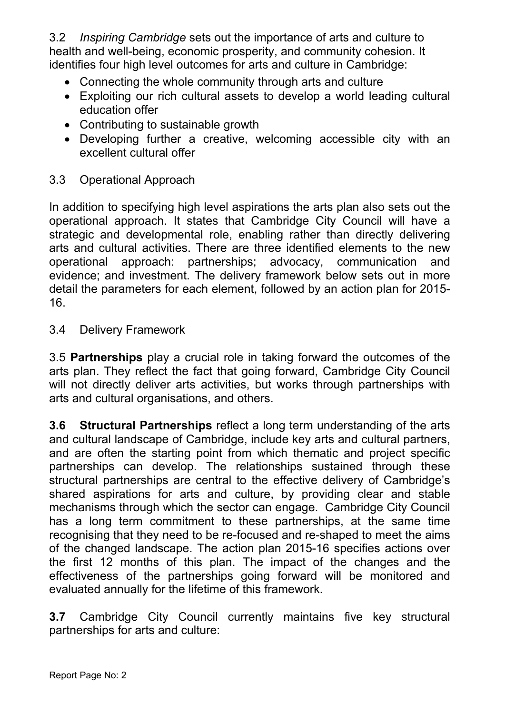3.2 *Inspiring Cambridge* sets out the importance of arts and culture to health and well-being, economic prosperity, and community cohesion. It identifies four high level outcomes for arts and culture in Cambridge:

- Connecting the whole community through arts and culture
- Exploiting our rich cultural assets to develop a world leading cultural education offer
- Contributing to sustainable growth
- Developing further a creative, welcoming accessible city with an excellent cultural offer

### 3.3 Operational Approach

In addition to specifying high level aspirations the arts plan also sets out the operational approach. It states that Cambridge City Council will have a strategic and developmental role, enabling rather than directly delivering arts and cultural activities. There are three identified elements to the new operational approach: partnerships; advocacy, communication and evidence; and investment. The delivery framework below sets out in more detail the parameters for each element, followed by an action plan for 2015- 16.

### 3.4 Delivery Framework

3.5 **Partnerships** play a crucial role in taking forward the outcomes of the arts plan. They reflect the fact that going forward, Cambridge City Council will not directly deliver arts activities, but works through partnerships with arts and cultural organisations, and others.

**3.6 Structural Partnerships** reflect a long term understanding of the arts and cultural landscape of Cambridge, include key arts and cultural partners, and are often the starting point from which thematic and project specific partnerships can develop. The relationships sustained through these structural partnerships are central to the effective delivery of Cambridge's shared aspirations for arts and culture, by providing clear and stable mechanisms through which the sector can engage. Cambridge City Council has a long term commitment to these partnerships, at the same time recognising that they need to be re-focused and re-shaped to meet the aims of the changed landscape. The action plan 2015-16 specifies actions over the first 12 months of this plan. The impact of the changes and the effectiveness of the partnerships going forward will be monitored and evaluated annually for the lifetime of this framework.

**3.7** Cambridge City Council currently maintains five key structural partnerships for arts and culture: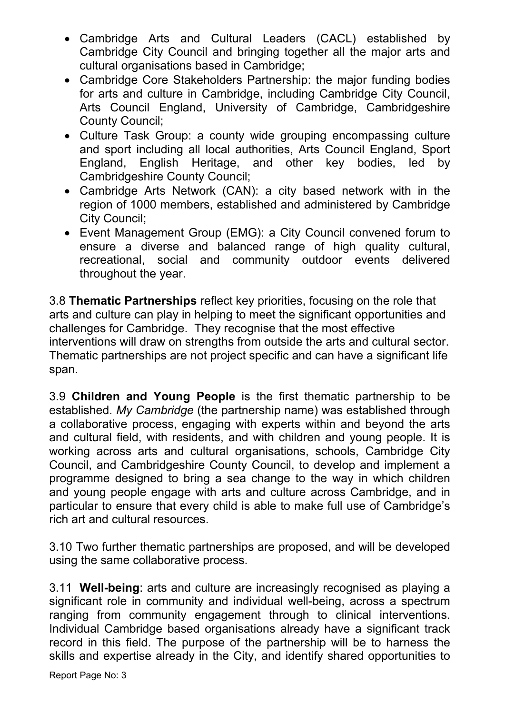- Cambridge Arts and Cultural Leaders (CACL) established by Cambridge City Council and bringing together all the major arts and cultural organisations based in Cambridge;
- Cambridge Core Stakeholders Partnership: the major funding bodies for arts and culture in Cambridge, including Cambridge City Council, Arts Council England, University of Cambridge, Cambridgeshire County Council;
- Culture Task Group: a county wide grouping encompassing culture and sport including all local authorities, Arts Council England, Sport England, English Heritage, and other key bodies, led by Cambridgeshire County Council;
- Cambridge Arts Network (CAN): a city based network with in the region of 1000 members, established and administered by Cambridge City Council;
- Event Management Group (EMG): a City Council convened forum to ensure a diverse and balanced range of high quality cultural, recreational, social and community outdoor events delivered throughout the year.

3.8 **Thematic Partnerships** reflect key priorities, focusing on the role that arts and culture can play in helping to meet the significant opportunities and challenges for Cambridge. They recognise that the most effective interventions will draw on strengths from outside the arts and cultural sector. Thematic partnerships are not project specific and can have a significant life span.

3.9 **Children and Young People** is the first thematic partnership to be established. *My Cambridge* (the partnership name) was established through a collaborative process, engaging with experts within and beyond the arts and cultural field, with residents, and with children and young people. It is working across arts and cultural organisations, schools, Cambridge City Council, and Cambridgeshire County Council, to develop and implement a programme designed to bring a sea change to the way in which children and young people engage with arts and culture across Cambridge, and in particular to ensure that every child is able to make full use of Cambridge's rich art and cultural resources.

3.10 Two further thematic partnerships are proposed, and will be developed using the same collaborative process.

3.11 **Well-being**: arts and culture are increasingly recognised as playing a significant role in community and individual well-being, across a spectrum ranging from community engagement through to clinical interventions. Individual Cambridge based organisations already have a significant track record in this field. The purpose of the partnership will be to harness the skills and expertise already in the City, and identify shared opportunities to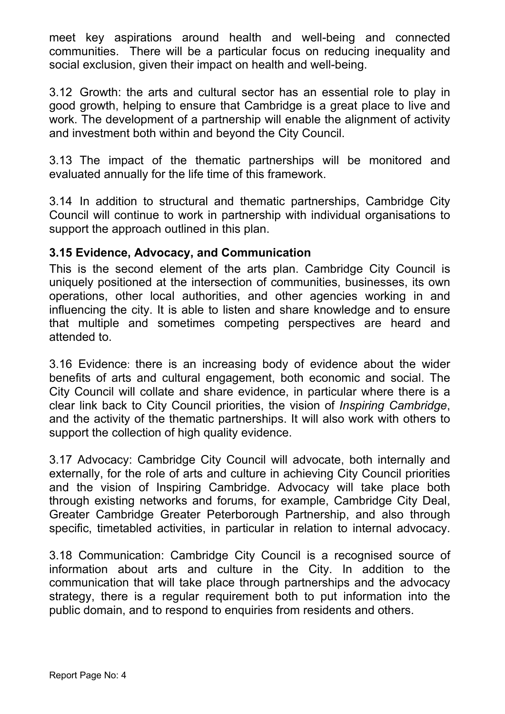meet key aspirations around health and well-being and connected communities. There will be a particular focus on reducing inequality and social exclusion, given their impact on health and well-being.

3.12 Growth: the arts and cultural sector has an essential role to play in good growth, helping to ensure that Cambridge is a great place to live and work. The development of a partnership will enable the alignment of activity and investment both within and beyond the City Council.

3.13 The impact of the thematic partnerships will be monitored and evaluated annually for the life time of this framework.

3.14 In addition to structural and thematic partnerships, Cambridge City Council will continue to work in partnership with individual organisations to support the approach outlined in this plan.

### **3.15 Evidence, Advocacy, and Communication**

This is the second element of the arts plan. Cambridge City Council is uniquely positioned at the intersection of communities, businesses, its own operations, other local authorities, and other agencies working in and influencing the city. It is able to listen and share knowledge and to ensure that multiple and sometimes competing perspectives are heard and attended to.

3.16 Evidence: there is an increasing body of evidence about the wider benefits of arts and cultural engagement, both economic and social. The City Council will collate and share evidence, in particular where there is a clear link back to City Council priorities, the vision of *Inspiring Cambridge*, and the activity of the thematic partnerships. It will also work with others to support the collection of high quality evidence.

3.17 Advocacy: Cambridge City Council will advocate, both internally and externally, for the role of arts and culture in achieving City Council priorities and the vision of Inspiring Cambridge. Advocacy will take place both through existing networks and forums, for example, Cambridge City Deal, Greater Cambridge Greater Peterborough Partnership, and also through specific, timetabled activities, in particular in relation to internal advocacy.

3.18 Communication: Cambridge City Council is a recognised source of information about arts and culture in the City. In addition to the communication that will take place through partnerships and the advocacy strategy, there is a regular requirement both to put information into the public domain, and to respond to enquiries from residents and others.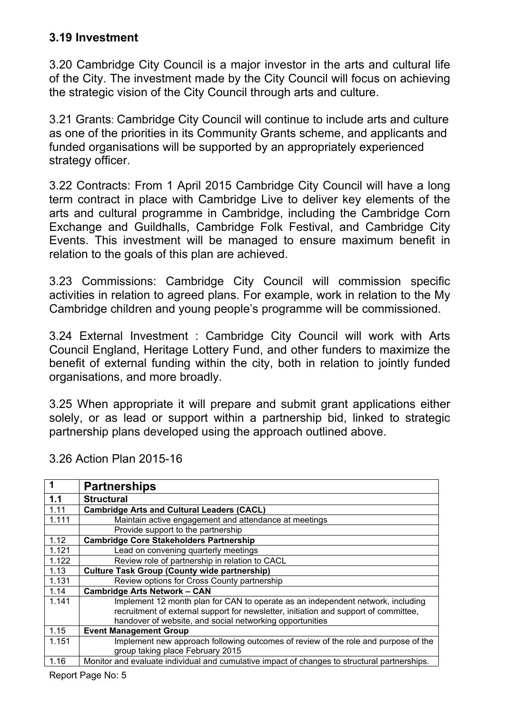### **3.19 Investment**

3.20 Cambridge City Council is a major investor in the arts and cultural life of the City. The investment made by the City Council will focus on achieving the strategic vision of the City Council through arts and culture.

3.21 Grants: Cambridge City Council will continue to include arts and culture as one of the priorities in its Community Grants scheme, and applicants and funded organisations will be supported by an appropriately experienced strategy officer.

3.22 Contracts: From 1 April 2015 Cambridge City Council will have a long term contract in place with Cambridge Live to deliver key elements of the arts and cultural programme in Cambridge, including the Cambridge Corn Exchange and Guildhalls, Cambridge Folk Festival, and Cambridge City Events. This investment will be managed to ensure maximum benefit in relation to the goals of this plan are achieved.

3.23 Commissions: Cambridge City Council will commission specific activities in relation to agreed plans. For example, work in relation to the My Cambridge children and young people's programme will be commissioned.

3.24 External Investment : Cambridge City Council will work with Arts Council England, Heritage Lottery Fund, and other funders to maximize the benefit of external funding within the city, both in relation to jointly funded organisations, and more broadly.

3.25 When appropriate it will prepare and submit grant applications either solely, or as lead or support within a partnership bid, linked to strategic partnership plans developed using the approach outlined above.

|       | <b>Partnerships</b>                                                                          |  |
|-------|----------------------------------------------------------------------------------------------|--|
| 1.1   | <b>Structural</b>                                                                            |  |
| 1.11  | <b>Cambridge Arts and Cultural Leaders (CACL)</b>                                            |  |
| 1.111 | Maintain active engagement and attendance at meetings                                        |  |
|       | Provide support to the partnership                                                           |  |
| 1.12  | <b>Cambridge Core Stakeholders Partnership</b>                                               |  |
| 1.121 | Lead on convening quarterly meetings                                                         |  |
| 1.122 | Review role of partnership in relation to CACL                                               |  |
| 1.13  | <b>Culture Task Group (County wide partnership)</b>                                          |  |
| 1.131 | Review options for Cross County partnership                                                  |  |
| 1.14  | <b>Cambridge Arts Network - CAN</b>                                                          |  |
| 1.141 | Implement 12 month plan for CAN to operate as an independent network, including              |  |
|       | recruitment of external support for newsletter, initiation and support of committee,         |  |
|       | handover of website, and social networking opportunities                                     |  |
| 1.15  | <b>Event Management Group</b>                                                                |  |
| 1.151 | Implement new approach following outcomes of review of the role and purpose of the           |  |
|       | group taking place February 2015                                                             |  |
| 1.16  | Monitor and evaluate individual and cumulative impact of changes to structural partnerships. |  |
|       | .                                                                                            |  |

3.26 Action Plan 2015-16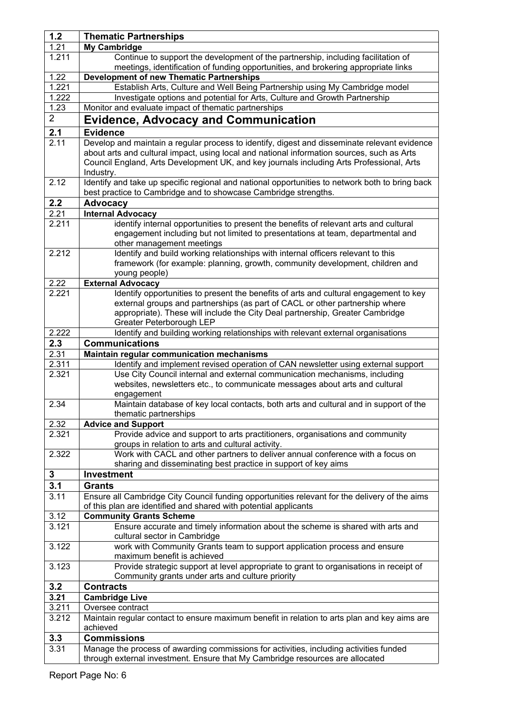| 1.2            | <b>Thematic Partnerships</b>                                                                                                                                          |
|----------------|-----------------------------------------------------------------------------------------------------------------------------------------------------------------------|
| 1.21           | <b>My Cambridge</b>                                                                                                                                                   |
| 1.211          | Continue to support the development of the partnership, including facilitation of                                                                                     |
|                | meetings, identification of funding opportunities, and brokering appropriate links                                                                                    |
| 1.22           | <b>Development of new Thematic Partnerships</b>                                                                                                                       |
| 1.221          | Establish Arts, Culture and Well Being Partnership using My Cambridge model                                                                                           |
| 1.222          | Investigate options and potential for Arts, Culture and Growth Partnership                                                                                            |
| 1.23           | Monitor and evaluate impact of thematic partnerships                                                                                                                  |
| 2 <sup>1</sup> | <b>Evidence, Advocacy and Communication</b>                                                                                                                           |
| 2.1            | <b>Evidence</b>                                                                                                                                                       |
| 2.11           | Develop and maintain a regular process to identify, digest and disseminate relevant evidence                                                                          |
|                | about arts and cultural impact, using local and national information sources, such as Arts                                                                            |
|                | Council England, Arts Development UK, and key journals including Arts Professional, Arts                                                                              |
|                | Industry.                                                                                                                                                             |
| 2.12           | Identify and take up specific regional and national opportunities to network both to bring back                                                                       |
|                | best practice to Cambridge and to showcase Cambridge strengths.                                                                                                       |
| 2.2            | <b>Advocacy</b>                                                                                                                                                       |
| 2.21           | <b>Internal Advocacy</b>                                                                                                                                              |
| 2.211          | identify internal opportunities to present the benefits of relevant arts and cultural                                                                                 |
|                | engagement including but not limited to presentations at team, departmental and                                                                                       |
|                | other management meetings                                                                                                                                             |
| 2.212          | Identify and build working relationships with internal officers relevant to this                                                                                      |
|                | framework (for example: planning, growth, community development, children and                                                                                         |
|                | young people)                                                                                                                                                         |
| 2.22           | <b>External Advocacy</b>                                                                                                                                              |
| 2.221          | Identify opportunities to present the benefits of arts and cultural engagement to key<br>external groups and partnerships (as part of CACL or other partnership where |
|                | appropriate). These will include the City Deal partnership, Greater Cambridge                                                                                         |
|                | Greater Peterborough LEP                                                                                                                                              |
| 2.222          | Identify and building working relationships with relevant external organisations                                                                                      |
| 2.3            | <b>Communications</b>                                                                                                                                                 |
| 2.31           | Maintain regular communication mechanisms                                                                                                                             |
| 2.311          | Identify and implement revised operation of CAN newsletter using external support                                                                                     |
| 2.321          | Use City Council internal and external communication mechanisms, including                                                                                            |
|                | websites, newsletters etc., to communicate messages about arts and cultural                                                                                           |
|                | engagement                                                                                                                                                            |
| 2.34           | Maintain database of key local contacts, both arts and cultural and in support of the                                                                                 |
|                | thematic partnerships                                                                                                                                                 |
| 2.32           | <b>Advice and Support</b>                                                                                                                                             |
| 2.321          | Provide advice and support to arts practitioners, organisations and community                                                                                         |
|                | groups in relation to arts and cultural activity.                                                                                                                     |
| 2.322          | Work with CACL and other partners to deliver annual conference with a focus on<br>sharing and disseminating best practice in support of key aims                      |
| 3              | <b>Investment</b>                                                                                                                                                     |
| 3.1            | <b>Grants</b>                                                                                                                                                         |
| 3.11           | Ensure all Cambridge City Council funding opportunities relevant for the delivery of the aims                                                                         |
|                | of this plan are identified and shared with potential applicants                                                                                                      |
| 3.12           | <b>Community Grants Scheme</b>                                                                                                                                        |
| 3.121          | Ensure accurate and timely information about the scheme is shared with arts and                                                                                       |
|                | cultural sector in Cambridge                                                                                                                                          |
| 3.122          | work with Community Grants team to support application process and ensure                                                                                             |
|                | maximum benefit is achieved                                                                                                                                           |
| 3.123          | Provide strategic support at level appropriate to grant to organisations in receipt of                                                                                |
|                | Community grants under arts and culture priority                                                                                                                      |
| 3.2            | <b>Contracts</b>                                                                                                                                                      |
| 3.21           | <b>Cambridge Live</b>                                                                                                                                                 |
| 3.211          | Oversee contract                                                                                                                                                      |
| 3.212          | Maintain regular contact to ensure maximum benefit in relation to arts plan and key aims are                                                                          |
|                | achieved                                                                                                                                                              |
| 3.3            | <b>Commissions</b>                                                                                                                                                    |
| 3.31           | Manage the process of awarding commissions for activities, including activities funded                                                                                |
|                | through external investment. Ensure that My Cambridge resources are allocated                                                                                         |